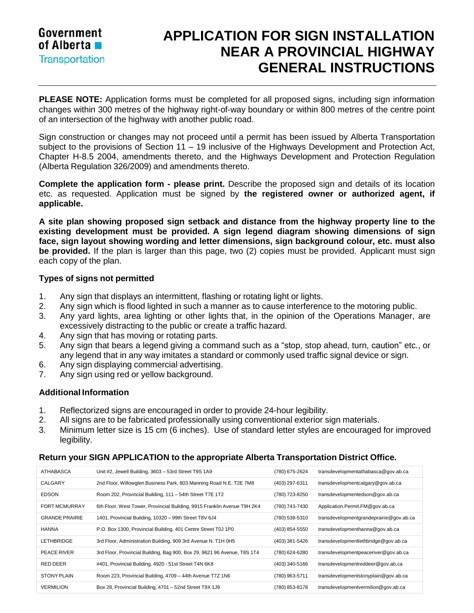

## **APPLICATION FOR SIGN INSTALLATION NEAR A PROVINCIAL HIGHWAY GENERAL INSTRUCTIONS**

**PLEASE NOTE:** Application forms must be completed for all proposed signs, including sign information changes within 300 metres of the highway right-of-way boundary or within 800 metres of the centre point of an intersection of the highway with another public road.

Sign construction or changes may not proceed until a permit has been issued by Alberta Transportation subject to the provisions of Section 11 – 19 inclusive of the Highways Development and Protection Act, Chapter H-8.5 2004, amendments thereto, and the Highways Development and Protection Regulation (Alberta Regulation 326/2009) and amendments thereto.

**Complete the application form - please print.** Describe the proposed sign and details of its location etc. as requested. Application must be signed by **the registered owner or authorized agent, if applicable.**

**A site plan showing proposed sign setback and distance from the highway property line to the existing development must be provided. A sign legend diagram showing dimensions of sign face, sign layout showing wording and letter dimensions, sign background colour, etc. must also be provided.** If the plan is larger than this page, two (2) copies must be provided. Applicant must sign each copy of the plan.

## **Types of signs not permitted**

- 1. Any sign that displays an intermittent, flashing or rotating light or lights.
- 2. Any sign which is flood lighted in such a manner as to cause interference to the motoring public.
- 3. Any yard lights, area lighting or other lights that, in the opinion of the Operations Manager, are excessively distracting to the public or create a traffic hazard.
- 4. Any sign that has moving or rotating parts.
- 5. Any sign that bears a legend giving a command such as a "stop, stop ahead, turn, caution" etc., or any legend that in any way imitates a standard or commonly used traffic signal device or sign.
- 6. Any sign displaying commercial advertising.
- 7. Any sign using red or yellow background.

## **Additional Information**

- 1. Reflectorized signs are encouraged in order to provide 24-hour legibility.
- 2. All signs are to be fabricated professionally using conventional exterior sign materials.
- 3. Minimum letter size is 15 cm (6 inches). Use of standard letter styles are encouraged for improved legibility.

## **Return your SIGN APPLICATION to the appropriate Alberta Transportation District Office.**

| ATHABASCA             | Unit #2, Jewell Building, 3603 - 53rd Street T9S 1A9                     | (780) 675-2624 | transdevelopmentathabasca@qov.ab.ca     |
|-----------------------|--------------------------------------------------------------------------|----------------|-----------------------------------------|
| CALGARY               | 2nd Floor, Willowglen Business Park, 803 Manning Road N.E. T2E 7M8       | (403) 297-6311 | transdevelopmentcalgary@gov.ab.ca       |
| <b>EDSON</b>          | Room 202, Provincial Building, 111 - 54th Street T7E 1T2                 | (780) 723-8250 | transdevelopmentedson@gov.ab.ca         |
| <b>FORT MCMURRAY</b>  | 6th Floor, West Tower, Provincial Building, 9915 Franklin Avenue T9H 2K4 | (780) 743-7430 | Application.Permit.FM@gov.ab.ca         |
| <b>GRANDE PRAIRIE</b> | 1401, Provincial Building, 10320 - 99th Street T8V 6J4                   | (780) 538-5310 | transdevelopmentgrandeprairie@gov.ab.ca |
| <b>HANNA</b>          | P.O. Box 1300, Provincial Building, 401 Centre Street T0J 1P0            | (403) 854-5550 | transdevelopmenthanna@gov.ab.ca         |
| <b>LETHBRIDGE</b>     | 3rd Floor, Administration Building, 909 3rd Avenue N. T1H 0H5            | (403) 381-5426 | transdevelopmentlethbridge@gov.ab.ca    |
| PEACE RIVER           | 3rd Floor, Provincial Building, Bag 900, Box 29, 9621 96 Avenue, T8S 1T4 | (780) 624-6280 | transdevelopmentpeaceriver@gov.ab.ca    |
| RED DEER              | #401, Provincial Building, 4920 - 51st Street T4N 6K8                    | (403) 340-5166 | transdevelopmentreddeer@gov.ab.ca       |
| <b>STONY PLAIN</b>    | Room 223, Provincial Building, 4709 - 44th Avenue T7Z 1N6                | (780) 963-5711 | transdevelopmentstonyplain@qov.ab.ca    |
| <b>VERMILION</b>      | Box 28, Provincial Building, 4701 - 52nd Street T9X 1J9                  | (780) 853-8178 | transdevelopmentvermilion@gov.ab.ca     |